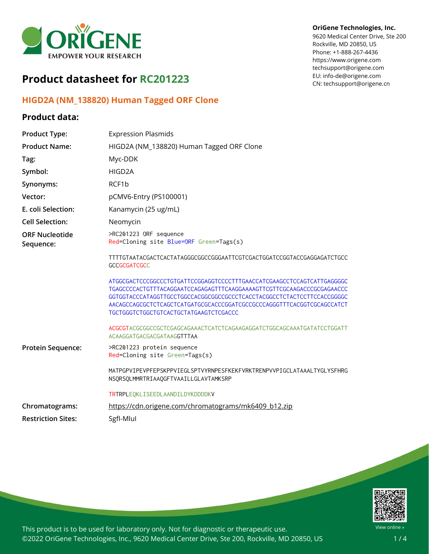

# **Product datasheet for RC201223**

# **HIGD2A (NM\_138820) Human Tagged ORF Clone**

## **Product data:**

#### **OriGene Technologies, Inc.**

9620 Medical Center Drive, Ste 200 Rockville, MD 20850, US Phone: +1-888-267-4436 https://www.origene.com techsupport@origene.com EU: info-de@origene.com CN: techsupport@origene.cn

| <b>Product Type:</b>               | <b>Expression Plasmids</b>                                                                                                                                                                                                                                           |
|------------------------------------|----------------------------------------------------------------------------------------------------------------------------------------------------------------------------------------------------------------------------------------------------------------------|
| <b>Product Name:</b>               | HIGD2A (NM_138820) Human Tagged ORF Clone                                                                                                                                                                                                                            |
| Tag:                               | Myc-DDK                                                                                                                                                                                                                                                              |
| Symbol:                            | HIGD <sub>2</sub> A                                                                                                                                                                                                                                                  |
| Synonyms:                          | RCF1b                                                                                                                                                                                                                                                                |
| Vector:                            | pCMV6-Entry (PS100001)                                                                                                                                                                                                                                               |
| E. coli Selection:                 | Kanamycin (25 ug/mL)                                                                                                                                                                                                                                                 |
| <b>Cell Selection:</b>             | Neomycin                                                                                                                                                                                                                                                             |
| <b>ORF Nucleotide</b><br>Sequence: | >RC201223 ORF sequence<br>Red=Cloning site Blue=ORF Green=Tags(s)                                                                                                                                                                                                    |
|                                    | TTTTGTAATACGACTCACTATAGGGCGGCCGGGAATTCGTCGACTGGATCCGGTACCGAGGAGATCTGCC<br><b>GCCGCGATCGCC</b>                                                                                                                                                                        |
|                                    | ATGGCGACTCCCGGCCCTGTGATTCCGGAGGTCCCCTTTGAACCATCGAAGCCTCCAGTCATTGAGGGGC<br>GGTGGTACCCATAGGTTGCCTGGCCACGGCGGCCGCCCTCACCTACGGCCTCTACTCCTTCCACCGGGGC<br>AACAGCCAGCGCTCTCAGCTCATGATGCGCACCCGGATCGCCGCCCAGGGTTTCACGGTCGCAGCCATCT<br>TGCTGGGTCTGGCTGTCACTGCTATGAAGTCTCGACCC |
|                                    | ACGCGTACGCGGCCGCTCGAGCAGAAACTCATCTCAGAAGAGGATCTGGCAGCAAATGATATCCTGGATT<br>ACAAGGATGACGACGATAAGGTTTAA                                                                                                                                                                 |
| <b>Protein Sequence:</b>           | >RC201223 protein sequence<br>Red=Cloning site Green=Tags(s)                                                                                                                                                                                                         |
|                                    | MATPGPVIPEVPFEPSKPPVIEGLSPTVYRNPESFKEKFVRKTRENPVVPIGCLATAAALTYGLYSFHRG<br>NSQRSQLMMRTRIAAQGFTVAAILLGLAVTAMKSRP                                                                                                                                                       |
|                                    | TRTRPLEQKLISEEDLAANDILDYKDDDDKV                                                                                                                                                                                                                                      |
| Chromatograms:                     | https://cdn.origene.com/chromatograms/mk6409_b12.zip                                                                                                                                                                                                                 |
| <b>Restriction Sites:</b>          | SgfI-Mlul                                                                                                                                                                                                                                                            |



This product is to be used for laboratory only. Not for diagnostic or therapeutic use. ©2022 OriGene Technologies, Inc., 9620 Medical Center Drive, Ste 200, Rockville, MD 20850, US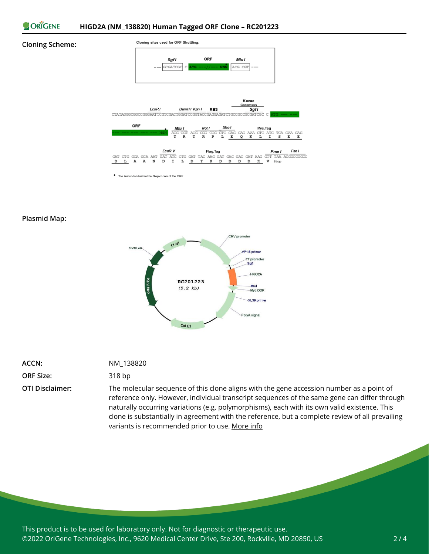

#### **Cloning Scheme:**



\* The last codon before the Stop codon of the ORF

#### **Plasmid Map:**



| ACCN: | NM 138820 |
|-------|-----------|
|       |           |

**ORF Size:** 318 bp

**OTI Disclaimer:** The molecular sequence of this clone aligns with the gene accession number as a point of reference only. However, individual transcript sequences of the same gene can differ through naturally occurring variations (e.g. polymorphisms), each with its own valid existence. This clone is substantially in agreement with the reference, but a complete review of all prevailing variants is recommended prior to use. [More](https://www.ncbi.nlm.nih.gov/books/NBK174586/) info

This product is to be used for laboratory only. Not for diagnostic or therapeutic use. ©2022 OriGene Technologies, Inc., 9620 Medical Center Drive, Ste 200, Rockville, MD 20850, US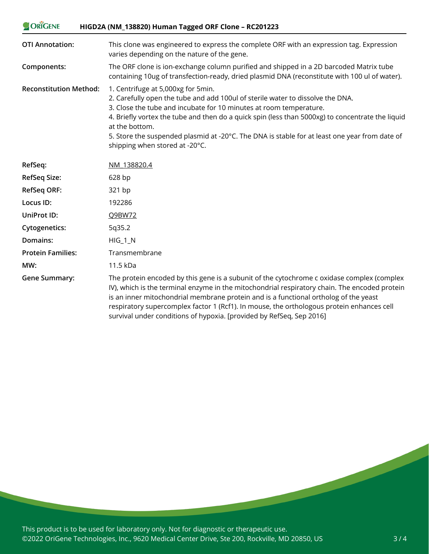| ORIGENE<br>HIGD2A (NM_138820) Human Tagged ORF Clone - RC201223 |                                                                                                                                                                                                                                                                                                                                                                                                                                                          |
|-----------------------------------------------------------------|----------------------------------------------------------------------------------------------------------------------------------------------------------------------------------------------------------------------------------------------------------------------------------------------------------------------------------------------------------------------------------------------------------------------------------------------------------|
| <b>OTI Annotation:</b>                                          | This clone was engineered to express the complete ORF with an expression tag. Expression<br>varies depending on the nature of the gene.                                                                                                                                                                                                                                                                                                                  |
| Components:                                                     | The ORF clone is ion-exchange column purified and shipped in a 2D barcoded Matrix tube<br>containing 10ug of transfection-ready, dried plasmid DNA (reconstitute with 100 ul of water).                                                                                                                                                                                                                                                                  |
| <b>Reconstitution Method:</b>                                   | 1. Centrifuge at 5,000xg for 5min.<br>2. Carefully open the tube and add 100ul of sterile water to dissolve the DNA.<br>3. Close the tube and incubate for 10 minutes at room temperature.<br>4. Briefly vortex the tube and then do a quick spin (less than 5000xg) to concentrate the liquid<br>at the bottom.<br>5. Store the suspended plasmid at -20°C. The DNA is stable for at least one year from date of<br>shipping when stored at -20°C.      |
| RefSeq:                                                         | NM 138820.4                                                                                                                                                                                                                                                                                                                                                                                                                                              |
| <b>RefSeq Size:</b>                                             | 628 bp                                                                                                                                                                                                                                                                                                                                                                                                                                                   |
| <b>RefSeq ORF:</b>                                              | 321 bp                                                                                                                                                                                                                                                                                                                                                                                                                                                   |
| Locus ID:                                                       | 192286                                                                                                                                                                                                                                                                                                                                                                                                                                                   |
| <b>UniProt ID:</b>                                              | Q9BW72                                                                                                                                                                                                                                                                                                                                                                                                                                                   |
| <b>Cytogenetics:</b>                                            | 5q35.2                                                                                                                                                                                                                                                                                                                                                                                                                                                   |
| Domains:                                                        | $HIG_1_N$                                                                                                                                                                                                                                                                                                                                                                                                                                                |
| <b>Protein Families:</b>                                        | Transmembrane                                                                                                                                                                                                                                                                                                                                                                                                                                            |
| MW:                                                             | 11.5 kDa                                                                                                                                                                                                                                                                                                                                                                                                                                                 |
| <b>Gene Summary:</b>                                            | The protein encoded by this gene is a subunit of the cytochrome c oxidase complex (complex<br>IV), which is the terminal enzyme in the mitochondrial respiratory chain. The encoded protein<br>is an inner mitochondrial membrane protein and is a functional ortholog of the yeast<br>respiratory supercomplex factor 1 (Rcf1). In mouse, the orthologous protein enhances cell<br>survival under conditions of hypoxia. [provided by RefSeq, Sep 2016] |

This product is to be used for laboratory only. Not for diagnostic or therapeutic use. ©2022 OriGene Technologies, Inc., 9620 Medical Center Drive, Ste 200, Rockville, MD 20850, US